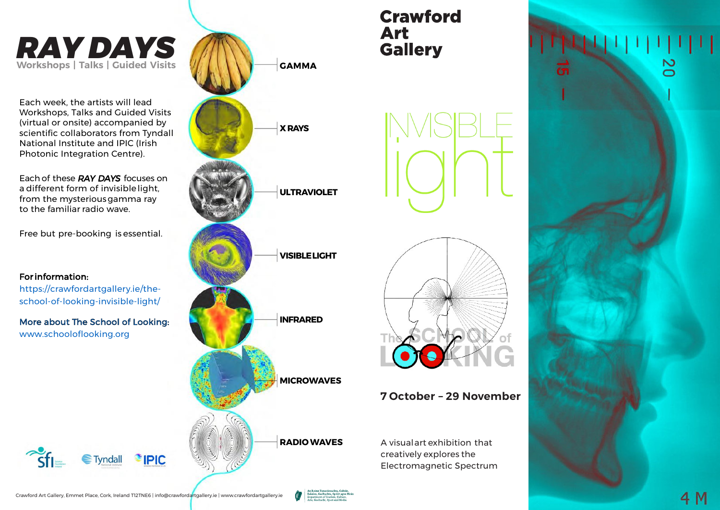# *RAY DAYS* **Workshops | Talks | Guided Visits**

Each week, the artists will lead Workshops, Talks and Guided Visits (virtual or onsite) accompanied by scientific collaborators from Tyndall National Institute and IPIC (Irish Photonic Integration Centre).

Each of these *RAY DAYS* focuses on a different form of invisiblelight, from the mysteriousgamma ray to the familiar radio wave.

Free but pre-booking is essential.

#### Forinformation:

https://crawfordartgallery.ie/theschool-of-looking-invisible-light/

More about The School of Looking: www.schooloflooking.org







## **7 October – 29 November**

A visualart exhibition that creatively explores the Electromagnetic Spectrum